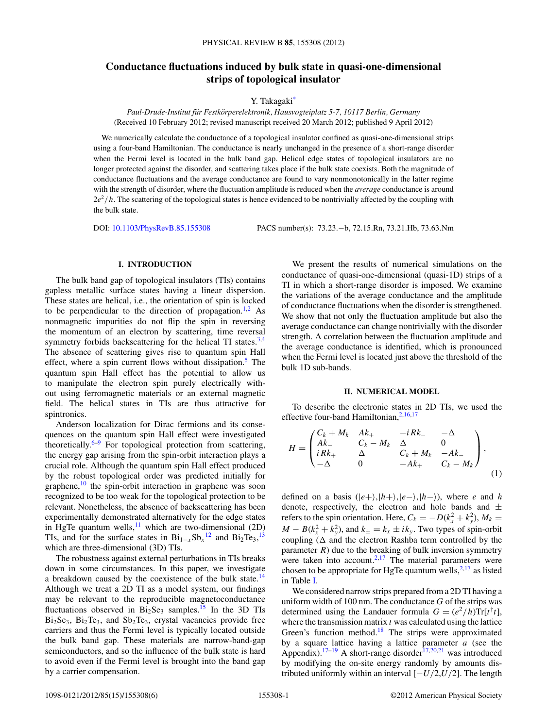# <span id="page-0-0"></span>**Conductance fluctuations induced by bulk state in quasi-one-dimensional strips of topological insulator**

Y. Takagaki<sup>\*</sup>

*Paul-Drude-Institut fur Festk ¨ orperelektronik, Hausvogteiplatz 5-7, 10117 Berlin, Germany ¨* (Received 10 February 2012; revised manuscript received 20 March 2012; published 9 April 2012)

We numerically calculate the conductance of a topological insulator confined as quasi-one-dimensional strips using a four-band Hamiltonian. The conductance is nearly unchanged in the presence of a short-range disorder when the Fermi level is located in the bulk band gap. Helical edge states of topological insulators are no longer protected against the disorder, and scattering takes place if the bulk state coexists. Both the magnitude of conductance fluctuations and the average conductance are found to vary nonmonotonically in the latter regime with the strength of disorder, where the fluctuation amplitude is reduced when the *average* conductance is around 2*e*<sup>2</sup>*/h*. The scattering of the topological states is hence evidenced to be nontrivially affected by the coupling with the bulk state.

DOI: [10.1103/PhysRevB.85.155308](http://dx.doi.org/10.1103/PhysRevB.85.155308) PACS number(s): 73*.*23*.*−b, 72*.*15*.*Rn, 73*.*21*.*Hb, 73*.*63*.*Nm

## **I. INTRODUCTION**

The bulk band gap of topological insulators (TIs) contains gapless metallic surface states having a linear dispersion. These states are helical, i.e., the orientation of spin is locked to be perpendicular to the direction of propagation.<sup>[1,2](#page-4-0)</sup> As nonmagnetic impurities do not flip the spin in reversing the momentum of an electron by scattering, time reversal symmetry forbids backscattering for the helical TI states. $3,4$ The absence of scattering gives rise to quantum spin Hall effect, where a spin current flows without dissipation.<sup>5</sup> The quantum spin Hall effect has the potential to allow us to manipulate the electron spin purely electrically without using ferromagnetic materials or an external magnetic field. The helical states in TIs are thus attractive for spintronics.

Anderson localization for Dirac fermions and its consequences on the quantum spin Hall effect were investigated theoretically. $6-9$  For topological protection from scattering, the energy gap arising from the spin-orbit interaction plays a crucial role. Although the quantum spin Hall effect produced by the robust topological order was predicted initially for graphene, $\frac{10}{10}$  the spin-orbit interaction in graphene was soon recognized to be too weak for the topological protection to be relevant. Nonetheless, the absence of backscattering has been experimentally demonstrated alternatively for the edge states in HgTe quantum wells, $11$  which are two-dimensional (2D) TIs, and for the surface states in  $Bi_{1-x}Sb_x^{12}$  $Bi_{1-x}Sb_x^{12}$  $Bi_{1-x}Sb_x^{12}$  and  $Bi_2Te_3$ ,<sup>[13](#page-4-0)</sup> which are three-dimensional (3D) TIs.

The robustness against external perturbations in TIs breaks down in some circumstances. In this paper, we investigate a breakdown caused by the coexistence of the bulk state.<sup>[14](#page-4-0)</sup> Although we treat a 2D TI as a model system, our findings may be relevant to the reproducible magnetoconductance fluctuations observed in  $Bi<sub>2</sub>Se<sub>3</sub>$  samples.<sup>15</sup> In the 3D TIs Bi2Se3, Bi2Te3, and Sb2Te3, crystal vacancies provide free carriers and thus the Fermi level is typically located outside the bulk band gap. These materials are narrow-band-gap semiconductors, and so the influence of the bulk state is hard to avoid even if the Fermi level is brought into the band gap by a carrier compensation.

We present the results of numerical simulations on the conductance of quasi-one-dimensional (quasi-1D) strips of a TI in which a short-range disorder is imposed. We examine the variations of the average conductance and the amplitude of conductance fluctuations when the disorder is strengthened. We show that not only the fluctuation amplitude but also the average conductance can change nontrivially with the disorder strength. A correlation between the fluctuation amplitude and the average conductance is identified, which is pronounced when the Fermi level is located just above the threshold of the bulk 1D sub-bands.

#### **II. NUMERICAL MODEL**

To describe the electronic states in 2D TIs, we used the effective four-band Hamiltonian,<sup>[2,16,17](#page-4-0)</sup>

$$
H = \begin{pmatrix} C_k + M_k & Ak_+ & -iRk_- & -\Delta \\ Ak_- & C_k - M_k & \Delta & 0 \\ iRk_+ & \Delta & C_k + M_k & -Ak_- \\ -\Delta & 0 & -Ak_+ & C_k - M_k \end{pmatrix},
$$
(1)

defined on a basis  $(|e+\rangle, |h+\rangle, |e-\rangle, |h-\rangle)$ , where *e* and *h* denote, respectively, the electron and hole bands and  $\pm$ refers to the spin orientation. Here,  $C_k = -D(k_x^2 + k_y^2)$ ,  $M_k =$  $M - B(k_x^2 + k_y^2)$ , and  $k_{\pm} = k_x \pm ik_y$ . Two types of spin-orbit coupling  $(\Delta$  and the electron Rashba term controlled by the parameter  $R$ ) due to the breaking of bulk inversion symmetry were taken into account. $2,17$  The material parameters were chosen to be appropriate for HgTe quantum wells,  $2,17$  as listed in Table I.

We considered narrow strips prepared from a 2D TI having a uniform width of 100 nm. The conductance *G* of the strips was determined using the Landauer formula  $G = (e^2/h) \text{Tr}[t^{\dagger}t]$ , where the transmission matrix *t* was calculated using the lattice Green's function method.<sup>18</sup> The strips were approximated by a square lattice having a lattice parameter *a* (see the Appendix).<sup>17–19</sup> A short-range disorder<sup>[17,20,21](#page-4-0)</sup> was introduced by modifying the on-site energy randomly by amounts distributed uniformly within an interval [−*U/*2,*U/*2]. The length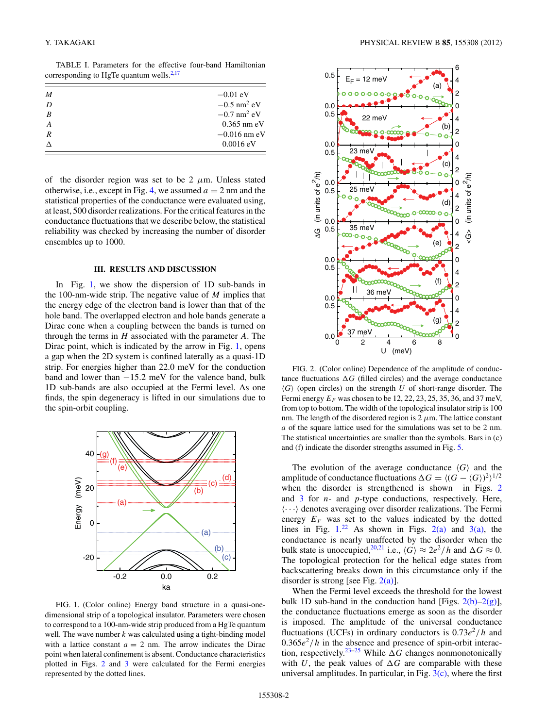<span id="page-1-0"></span>TABLE I. Parameters for the effective four-band Hamiltonian corresponding to HgTe quantum wells. $2,17$ 

| M                | $-0.01$ eV                |
|------------------|---------------------------|
| D                | $-0.5$ nm <sup>2</sup> eV |
| $\boldsymbol{B}$ | $-0.7$ nm <sup>2</sup> eV |
| $\boldsymbol{A}$ | $0.365$ nm eV             |
| $\overline{R}$   | $-0.016$ nm eV            |
|                  | $0.0016 \text{ eV}$       |

of the disorder region was set to be  $2 \mu m$ . Unless stated otherwise, i.e., except in Fig. [4,](#page-2-0) we assumed  $a = 2$  nm and the statistical properties of the conductance were evaluated using, at least, 500 disorder realizations. For the critical features in the conductance fluctuations that we describe below, the statistical reliability was checked by increasing the number of disorder ensembles up to 1000.

### **III. RESULTS AND DISCUSSION**

In Fig. 1, we show the dispersion of 1D sub-bands in the 100-nm-wide strip. The negative value of *M* implies that the energy edge of the electron band is lower than that of the hole band. The overlapped electron and hole bands generate a Dirac cone when a coupling between the bands is turned on through the terms in *H* associated with the parameter *A*. The Dirac point, which is indicated by the arrow in Fig. 1, opens a gap when the 2D system is confined laterally as a quasi-1D strip. For energies higher than 22.0 meV for the conduction band and lower than −15*.*2 meV for the valence band, bulk 1D sub-bands are also occupied at the Fermi level. As one finds, the spin degeneracy is lifted in our simulations due to the spin-orbit coupling.



FIG. 1. (Color online) Energy band structure in a quasi-onedimensional strip of a topological insulator. Parameters were chosen to correspond to a 100-nm-wide strip produced from a HgTe quantum well. The wave number *k* was calculated using a tight-binding model with a lattice constant  $a = 2$  nm. The arrow indicates the Dirac point when lateral confinement is absent. Conductance characteristics plotted in Figs. 2 and [3](#page-2-0) were calculated for the Fermi energies represented by the dotted lines.



FIG. 2. (Color online) Dependence of the amplitude of conductance fluctuations  $\Delta G$  (filled circles) and the average conductance  $\langle G \rangle$  (open circles) on the strength *U* of short-range disorder. The Fermi energy  $E_F$  was chosen to be 12, 22, 23, 25, 35, 36, and 37 meV, from top to bottom. The width of the topological insulator strip is 100 nm. The length of the disordered region is  $2 \mu$ m. The lattice constant *a* of the square lattice used for the simulations was set to be 2 nm. The statistical uncertainties are smaller than the symbols. Bars in (c) and (f) indicate the disorder strengths assumed in Fig. [5.](#page-3-0)

The evolution of the average conductance  $\langle G \rangle$  and the amplitude of conductance fluctuations  $\Delta G = \langle (G - \langle G \rangle)^2 \rangle^{1/2}$ when the disorder is strengthened is shown in Figs. 2 and [3](#page-2-0) for *n*- and *p*-type conductions, respectively. Here,  $\langle \cdots \rangle$  denotes averaging over disorder realizations. The Fermi energy  $E_F$  was set to the values indicated by the dotted lines in Fig.  $1.^{22}$  $1.^{22}$  $1.^{22}$  As shown in Figs. 2(a) and [3\(a\),](#page-2-0) the conductance is nearly unaffected by the disorder when the bulk state is unoccupied, <sup>[20,21](#page-4-0)</sup> i.e.,  $\langle G \rangle \approx 2e^2/h$  and  $\Delta G \approx 0$ . The topological protection for the helical edge states from backscattering breaks down in this circumstance only if the disorder is strong [see Fig.  $2(a)$ ].

When the Fermi level exceeds the threshold for the lowest bulk 1D sub-band in the conduction band [Figs.  $2(b)-2(g)$ ], the conductance fluctuations emerge as soon as the disorder is imposed. The amplitude of the universal conductance fluctuations (UCFs) in ordinary conductors is  $0.73e^2/h$  and  $0.365e^2/h$  in the absence and presence of spin-orbit interac-tion, respectively.<sup>[23](#page-4-0)[–25](#page-5-0)</sup> While  $\Delta G$  changes nonmonotonically with *U*, the peak values of  $\Delta G$  are comparable with these universal amplitudes. In particular, in Fig.  $3(c)$ , where the first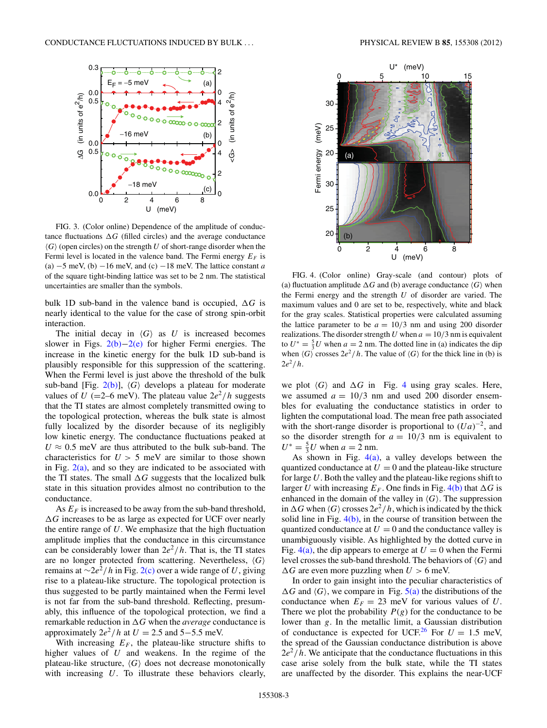<span id="page-2-0"></span>

FIG. 3. (Color online) Dependence of the amplitude of conductance fluctuations  $\Delta G$  (filled circles) and the average conductance  $\langle G \rangle$  (open circles) on the strength *U* of short-range disorder when the Fermi level is located in the valence band. The Fermi energy  $E_F$  is (a) −5 meV, (b) −16 meV, and (c) −18 meV. The lattice constant *a* of the square tight-binding lattice was set to be 2 nm. The statistical uncertainties are smaller than the symbols.

bulk 1D sub-band in the valence band is occupied,  $\Delta G$  is nearly identical to the value for the case of strong spin-orbit interaction.

The initial decay in  $\langle G \rangle$  as *U* is increased becomes slower in Figs. [2\(b\)](#page-1-0)−[2\(e\)](#page-1-0) for higher Fermi energies. The increase in the kinetic energy for the bulk 1D sub-band is plausibly responsible for this suppression of the scattering. When the Fermi level is just above the threshold of the bulk sub-band [Fig. [2\(b\)\]](#page-1-0),  $\langle G \rangle$  develops a plateau for moderate values of *U* (=2–6 meV). The plateau value  $2e^2/h$  suggests that the TI states are almost completely transmitted owing to the topological protection, whereas the bulk state is almost fully localized by the disorder because of its negligibly low kinetic energy. The conductance fluctuations peaked at  $U \approx 0.5$  meV are thus attributed to the bulk sub-band. The characteristics for  $U > 5$  meV are similar to those shown in Fig.  $2(a)$ , and so they are indicated to be associated with the TI states. The small  $\Delta G$  suggests that the localized bulk state in this situation provides almost no contribution to the conductance.

As  $E_F$  is increased to be away from the sub-band threshold, *-G* increases to be as large as expected for UCF over nearly the entire range of *U*. We emphasize that the high fluctuation amplitude implies that the conductance in this circumstance can be considerably lower than  $2e^2/h$ . That is, the TI states are no longer protected from scattering. Nevertheless, *G* remains at <sup>∼</sup>2*e*<sup>2</sup>*/h* in Fig. [2\(c\)](#page-1-0) over a wide range of *<sup>U</sup>*, giving rise to a plateau-like structure. The topological protection is thus suggested to be partly maintained when the Fermi level is not far from the sub-band threshold. Reflecting, presumably, this influence of the topological protection, we find a remarkable reduction in  $\Delta G$  when the *average* conductance is approximately  $2e^2/h$  at  $U = 2.5$  and  $5-5.5$  meV.

With increasing  $E_F$ , the plateau-like structure shifts to higher values of *U* and weakens. In the regime of the plateau-like structure,  $\langle G \rangle$  does not decrease monotonically with increasing *U*. To illustrate these behaviors clearly,



FIG. 4. (Color online) Gray-scale (and contour) plots of (a) fluctuation amplitude  $\Delta G$  and (b) average conductance  $\langle G \rangle$  when the Fermi energy and the strength *U* of disorder are varied. The maximum values and 0 are set to be, respectively, white and black for the gray scales. Statistical properties were calculated assuming the lattice parameter to be  $a = 10/3$  nm and using 200 disorder realizations. The disorder strength *U* when  $a = 10/3$  nm is equivalent to  $U^* = \frac{5}{3}U$  when  $a = 2$  nm. The dotted line in (a) indicates the dip when  $\langle G \rangle$  crosses  $2e^2/h$ . The value of  $\langle G \rangle$  for the thick line in (b) is  $2e^{2}/h$ .

we plot  $\langle G \rangle$  and  $\Delta G$  in Fig. 4 using gray scales. Here, we assumed  $a = 10/3$  nm and used 200 disorder ensembles for evaluating the conductance statistics in order to lighten the computational load. The mean free path associated with the short-range disorder is proportional to  $(Ua)^{-2}$ , and so the disorder strength for  $a = 10/3$  nm is equivalent to  $U^* = \frac{5}{3}U$  when  $a = 2$  nm.

As shown in Fig.  $4(a)$ , a valley develops between the quantized conductance at  $U = 0$  and the plateau-like structure for large *U*. Both the valley and the plateau-like regions shift to larger *U* with increasing  $E_F$ . One finds in Fig. 4(b) that  $\Delta G$  is enhanced in the domain of the valley in  $\langle G \rangle$ . The suppression in  $\Delta G$  when  $\langle G \rangle$  crosses  $2e^2/h$ , which is indicated by the thick solid line in Fig. 4(b), in the course of transition between the quantized conductance at  $U = 0$  and the conductance valley is unambiguously visible. As highlighted by the dotted curve in Fig.  $4(a)$ , the dip appears to emerge at  $U = 0$  when the Fermi level crosses the sub-band threshold. The behaviors of  $\langle G \rangle$  and  $\Delta G$  are even more puzzling when  $U > 6$  meV.

In order to gain insight into the peculiar characteristics of  $\Delta G$  and  $\langle G \rangle$ , we compare in Fig. [5\(a\)](#page-3-0) the distributions of the conductance when  $E_F = 23$  meV for various values of *U*. There we plot the probability  $P(g)$  for the conductance to be lower than *g*. In the metallic limit, a Gaussian distribution of conductance is expected for UCF.<sup>[26](#page-5-0)</sup> For  $U = 1.5$  meV, the spread of the Gaussian conductance distribution is above  $2e^2/h$ . We anticipate that the conductance fluctuations in this case arise solely from the bulk state, while the TI states are unaffected by the disorder. This explains the near-UCF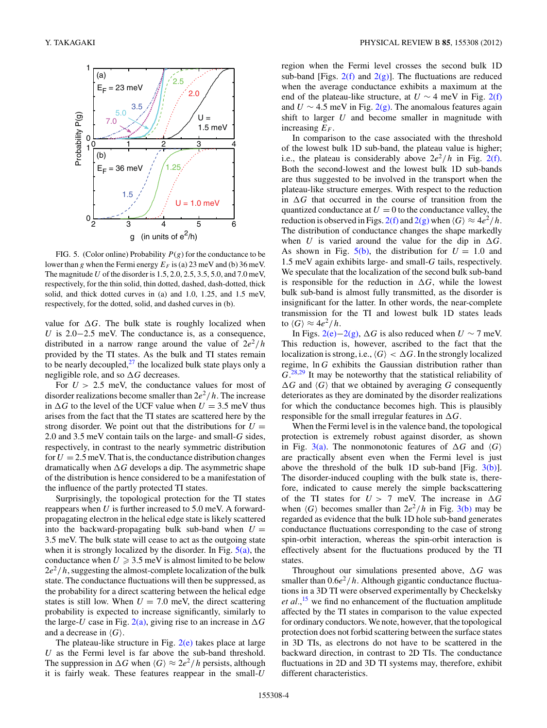<span id="page-3-0"></span>

FIG. 5. (Color online) Probability  $P(g)$  for the conductance to be lower than *g* when the Fermi energy  $E_F$  is (a) 23 meV and (b) 36 meV. The magnitude *U* of the disorder is 1.5, 2.0, 2.5, 3.5, 5.0, and 7.0 meV, respectively, for the thin solid, thin dotted, dashed, dash-dotted, thick solid, and thick dotted curves in (a) and 1.0, 1.25, and 1.5 meV, respectively, for the dotted, solid, and dashed curves in (b).

value for  $\Delta G$ . The bulk state is roughly localized when *U* is 2.0−2.5 meV. The conductance is, as a consequence, distributed in a narrow range around the value of  $2e^2/h$ provided by the TI states. As the bulk and TI states remain to be nearly decoupled, $27$  the localized bulk state plays only a negligible role, and so  $\Delta G$  decreases.

For  $U > 2.5$  meV, the conductance values for most of disorder realizations become smaller than  $2e^2/h$ . The increase in  $\Delta G$  to the level of the UCF value when  $U = 3.5$  meV thus arises from the fact that the TI states are scattered here by the strong disorder. We point out that the distributions for  $U =$ 2.0 and 3.5 meV contain tails on the large- and small-*G* sides, respectively, in contrast to the nearly symmetric distribution for  $U = 2.5$  meV. That is, the conductance distribution changes dramatically when  $\Delta G$  develops a dip. The asymmetric shape of the distribution is hence considered to be a manifestation of the influence of the partly protected TI states.

Surprisingly, the topological protection for the TI states reappears when *U* is further increased to 5.0 meV. A forwardpropagating electron in the helical edge state is likely scattered into the backward-propagating bulk sub-band when  $U =$ 3.5 meV. The bulk state will cease to act as the outgoing state when it is strongly localized by the disorder. In Fig.  $5(a)$ , the conductance when  $U \geqslant 3.5 \text{ meV}$  is almost limited to be below  $2e^{2}/h$ , suggesting the almost-complete localization of the bulk state. The conductance fluctuations will then be suppressed, as the probability for a direct scattering between the helical edge states is still low. When  $U = 7.0$  meV, the direct scattering probability is expected to increase significantly, similarly to the large-*U* case in Fig. [2\(a\),](#page-1-0) giving rise to an increase in  $\Delta G$ and a decrease in  $\langle G \rangle$ .

The plateau-like structure in Fig. [2\(e\)](#page-1-0) takes place at large *U* as the Fermi level is far above the sub-band threshold. The suppression in  $\Delta G$  when  $\langle G \rangle \approx 2e^2/h$  persists, although it is fairly weak. These features reappear in the small-*U*

region when the Fermi level crosses the second bulk 1D sub-band [Figs.  $2(f)$  and  $2(g)$ ]. The fluctuations are reduced when the average conductance exhibits a maximum at the end of the plateau-like structure, at  $U \sim 4$  meV in Fig. [2\(f\)](#page-1-0) and  $U \sim 4.5$  meV in Fig. [2\(g\).](#page-1-0) The anomalous features again shift to larger *U* and become smaller in magnitude with increasing  $E_F$ .

In comparison to the case associated with the threshold of the lowest bulk 1D sub-band, the plateau value is higher; i.e., the plateau is considerably above  $2e^2/h$  in Fig. [2\(f\).](#page-1-0) Both the second-lowest and the lowest bulk 1D sub-bands are thus suggested to be involved in the transport when the plateau-like structure emerges. With respect to the reduction in  $\Delta G$  that occurred in the course of transition from the quantized conductance at  $U = 0$  to the conductance valley, the reduction is observed in Figs. [2\(f\)](#page-1-0) and [2\(g\)](#page-1-0) when  $\langle G \rangle \approx 4e^2/h$ . The distribution of conductance changes the shape markedly when *U* is varied around the value for the dip in  $\Delta G$ . As shown in Fig.  $5(b)$ , the distribution for  $U = 1.0$  and 1.5 meV again exhibits large- and small-*G* tails, respectively. We speculate that the localization of the second bulk sub-band is responsible for the reduction in  $\Delta G$ , while the lowest bulk sub-band is almost fully transmitted, as the disorder is insignificant for the latter. In other words, the near-complete transmission for the TI and lowest bulk 1D states leads to  $\langle G \rangle \approx 4e^2/h$ .

In Figs. [2\(e\)](#page-1-0)–[2\(g\),](#page-1-0)  $\Delta G$  is also reduced when *U* ∼ 7 meV. This reduction is, however, ascribed to the fact that the localization is strong, i.e.,  $\langle G \rangle < \Delta G$ . In the strongly localized regime, ln *G* exhibits the Gaussian distribution rather than *G*. [28,29](#page-5-0) It may be noteworthy that the statistical reliability of  $\Delta G$  and  $\langle G \rangle$  that we obtained by averaging *G* consequently deteriorates as they are dominated by the disorder realizations for which the conductance becomes high. This is plausibly responsible for the small irregular features in  $\Delta G$ .

When the Fermi level is in the valence band, the topological protection is extremely robust against disorder, as shown in Fig. [3\(a\).](#page-2-0) The nonmonotonic features of  $\Delta G$  and  $\langle G \rangle$ are practically absent even when the Fermi level is just above the threshold of the bulk 1D sub-band [Fig.  $3(b)$ ]. The disorder-induced coupling with the bulk state is, therefore, indicated to cause merely the simple backscattering of the TI states for  $U > 7$  meV. The increase in  $\Delta G$ when  $\langle G \rangle$  becomes smaller than  $2e^2/h$  in Fig. [3\(b\)](#page-2-0) may be regarded as evidence that the bulk 1D hole sub-band generates conductance fluctuations corresponding to the case of strong spin-orbit interaction, whereas the spin-orbit interaction is effectively absent for the fluctuations produced by the TI states.

Throughout our simulations presented above,  $\Delta G$  was smaller than  $0.6e^2/h$ . Although gigantic conductance fluctuations in a 3D TI were observed experimentally by Checkelsky *et al.*, [15](#page-4-0) we find no enhancement of the fluctuation amplitude affected by the TI states in comparison to the value expected for ordinary conductors. We note, however, that the topological protection does not forbid scattering between the surface states in 3D TIs, as electrons do not have to be scattered in the backward direction, in contrast to 2D TIs. The conductance fluctuations in 2D and 3D TI systems may, therefore, exhibit different characteristics.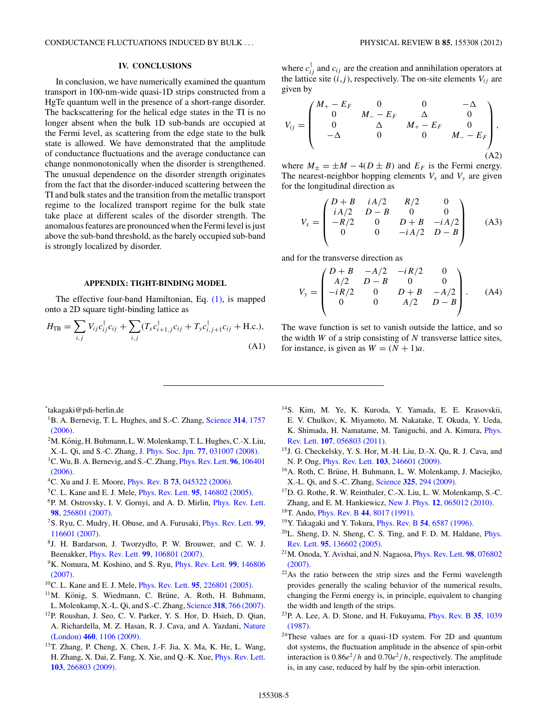<span id="page-4-0"></span>CONDUCTANCE FLUCTUATIONS INDUCED BY BULK *...* PHYSICAL REVIEW B **85**, 155308 (2012)

### **IV. CONCLUSIONS**

In conclusion, we have numerically examined the quantum transport in 100-nm-wide quasi-1D strips constructed from a HgTe quantum well in the presence of a short-range disorder. The backscattering for the helical edge states in the TI is no longer absent when the bulk 1D sub-bands are occupied at the Fermi level, as scattering from the edge state to the bulk state is allowed. We have demonstrated that the amplitude of conductance fluctuations and the average conductance can change nonmonotonically when the disorder is strengthened. The unusual dependence on the disorder strength originates from the fact that the disorder-induced scattering between the TI and bulk states and the transition from the metallic transport regime to the localized transport regime for the bulk state take place at different scales of the disorder strength. The anomalous features are pronounced when the Fermi level is just above the sub-band threshold, as the barely occupied sub-band is strongly localized by disorder.

### **APPENDIX: TIGHT-BINDING MODEL**

The effective four-band Hamiltonian, Eq. [\(1\),](#page-0-0) is mapped onto a 2D square tight-binding lattice as

$$
H_{\text{TB}} = \sum_{i,j} V_{ij} c_{ij}^{\dagger} c_{ij} + \sum_{i,j} (T_x c_{i+1,j}^{\dagger} c_{ij} + T_y c_{i,j+1}^{\dagger} c_{ij} + \text{H.c.}),
$$
\n(A1)

where  $c_{ij}^{\dagger}$  and  $c_{ij}$  are the creation and annihilation operators at the lattice site  $(i, j)$ , respectively. The on-site elements  $V_{ij}$  are given by

$$
V_{ij} = \begin{pmatrix} M_{+} - E_{F} & 0 & 0 & -\Delta \\ 0 & M_{-} - E_{F} & \Delta & 0 \\ 0 & \Delta & M_{+} - E_{F} & 0 \\ -\Delta & 0 & 0 & M_{-} - E_{F} \end{pmatrix},
$$
(A2)

where  $M_{\pm} = \pm M - 4(D \pm B)$  and  $E_F$  is the Fermi energy. The nearest-neighbor hopping elements  $V_x$  and  $V_y$  are given for the longitudinal direction as

$$
V_x = \begin{pmatrix} D+B & iA/2 & R/2 & 0 \\ iA/2 & D-B & 0 & 0 \\ -R/2 & 0 & D+B & -iA/2 \\ 0 & 0 & -iA/2 & D-B \end{pmatrix}
$$
 (A3)

and for the transverse direction as

$$
V_{y} = \begin{pmatrix} D+B & -A/2 & -iR/2 & 0 \\ A/2 & D-B & 0 & 0 \\ -iR/2 & 0 & D+B & -A/2 \\ 0 & 0 & A/2 & D-B \end{pmatrix}.
$$
 (A4)

The wave function is set to vanish outside the lattice, and so the width *W* of a strip consisting of *N* transverse lattice sites, for instance, is given as  $W = (N + 1)a$ .

\* takagaki@pdi-berlin.de

- 1B. A. Bernevig, T. L. Hughes, and S.-C. Zhang, [Science](http://dx.doi.org/10.1126/science.1133734) **314**, 1757 [\(2006\).](http://dx.doi.org/10.1126/science.1133734)
- $2M$ . König, H. Buhmann, L. W. Molenkamp, T. L. Hughes, C.-X. Liu, X.-L. Qi, and S.-C. Zhang, [J. Phys. Soc. Jpn.](http://dx.doi.org/10.1143/JPSJ.77.031007) **77**, 031007 (2008).
- 3C. Wu, B. A. Bernevig, and S.-C. Zhang, [Phys. Rev. Lett.](http://dx.doi.org/10.1103/PhysRevLett.96.106401) **96**, 106401 [\(2006\).](http://dx.doi.org/10.1103/PhysRevLett.96.106401)
- 4C. Xu and J. E. Moore, Phys. Rev. B **73**[, 045322 \(2006\).](http://dx.doi.org/10.1103/PhysRevB.73.045322)
- 5C. L. Kane and E. J. Mele, Phys. Rev. Lett. **95**[, 146802 \(2005\).](http://dx.doi.org/10.1103/PhysRevLett.95.146802)
- 6P. M. Ostrovsky, I. V. Gornyi, and A. D. Mirlin, [Phys. Rev. Lett.](http://dx.doi.org/10.1103/PhysRevLett.98.256801) **98**[, 256801 \(2007\).](http://dx.doi.org/10.1103/PhysRevLett.98.256801)
- 7S. Ryu, C. Mudry, H. Obuse, and A. Furusaki, [Phys. Rev. Lett.](http://dx.doi.org/10.1103/PhysRevLett.99.116601) **99**, [116601 \(2007\).](http://dx.doi.org/10.1103/PhysRevLett.99.116601)
- 8J. H. Bardarson, J. Tworzydło, P. W. Brouwer, and C. W. J. Beenakker, Phys. Rev. Lett. **99**[, 106801 \(2007\).](http://dx.doi.org/10.1103/PhysRevLett.99.106801)
- 9K. Nomura, M. Koshino, and S. Ryu, [Phys. Rev. Lett.](http://dx.doi.org/10.1103/PhysRevLett.99.146806) **99**, 146806 [\(2007\).](http://dx.doi.org/10.1103/PhysRevLett.99.146806)
- 10C. L. Kane and E. J. Mele, Phys. Rev. Lett. **95**[, 226801 \(2005\).](http://dx.doi.org/10.1103/PhysRevLett.95.226801)
- $11$ M. König, S. Wiedmann, C. Brüne, A. Roth, H. Buhmann, L. Molenkamp, X.-L. Qi, and S.-C. Zhang, Science **318**[, 766 \(2007\).](http://dx.doi.org/10.1126/science.1148047)
- 12P. Roushan, J. Seo, C. V. Parker, Y. S. Hor, D. Hsieh, D. Qian, A. Richardella, M. Z. Hasan, R. J. Cava, and A. Yazdani, [Nature](http://dx.doi.org/10.1038/nature08308) (London) **460**[, 1106 \(2009\).](http://dx.doi.org/10.1038/nature08308)
- 13T. Zhang, P. Cheng, X. Chen, J.-F. Jia, X. Ma, K. He, L. Wang, H. Zhang, X. Dai, Z. Fang, X. Xie, and Q.-K. Xue, [Phys. Rev. Lett.](http://dx.doi.org/10.1103/PhysRevLett.103.266803) **103**[, 266803 \(2009\).](http://dx.doi.org/10.1103/PhysRevLett.103.266803)
- 14S. Kim, M. Ye, K. Kuroda, Y. Yamada, E. E. Krasovskii, E. V. Chulkov, K. Miyamoto, M. Nakatake, T. Okuda, Y. Ueda, K. Shimada, H. Namatame, M. Taniguchi, and A. Kimura, [Phys.](http://dx.doi.org/10.1103/PhysRevLett.107.056803) Rev. Lett. **107**[, 056803 \(2011\).](http://dx.doi.org/10.1103/PhysRevLett.107.056803)
- 15J. G. Checkelsky, Y. S. Hor, M.-H. Liu, D.-X. Qu, R. J. Cava, and N. P. Ong, Phys. Rev. Lett. **103**[, 246601 \(2009\).](http://dx.doi.org/10.1103/PhysRevLett.103.246601)
- <sup>16</sup>A. Roth, C. Brüne, H. Buhmann, L. W. Molenkamp, J. Maciejko, X.-L. Qi, and S.-C. Zhang, Science **325**[, 294 \(2009\).](http://dx.doi.org/10.1126/science.1174736)
- 17D. G. Rothe, R. W. Reinthaler, C.-X. Liu, L. W. Molenkamp, S.-C. Zhang, and E. M. Hankiewicz, New J. Phys. **12**[, 065012 \(2010\).](http://dx.doi.org/10.1088/1367-2630/12/6/065012)
- 18T. Ando, Phys. Rev. B **44**[, 8017 \(1991\).](http://dx.doi.org/10.1103/PhysRevB.44.8017)
- 19Y. Takagaki and Y. Tokura, Phys. Rev. B **54**[, 6587 \(1996\).](http://dx.doi.org/10.1103/PhysRevB.54.6587)
- 20L. Sheng, D. N. Sheng, C. S. Ting, and F. D. M. Haldane, [Phys.](http://dx.doi.org/10.1103/PhysRevLett.95.136602) Rev. Lett. **95**[, 136602 \(2005\).](http://dx.doi.org/10.1103/PhysRevLett.95.136602)
- 21M. Onoda, Y. Avishai, and N. Nagaosa, [Phys. Rev. Lett.](http://dx.doi.org/10.1103/PhysRevLett.98.076802) **98**, 076802 [\(2007\).](http://dx.doi.org/10.1103/PhysRevLett.98.076802)
- 22As the ratio between the strip sizes and the Fermi wavelength provides generally the scaling behavior of the numerical results, changing the Fermi energy is, in principle, equivalent to changing the width and length of the strips.
- 23P. A. Lee, A. D. Stone, and H. Fukuyama, [Phys. Rev. B](http://dx.doi.org/10.1103/PhysRevB.35.1039) **35**, 1039 [\(1987\).](http://dx.doi.org/10.1103/PhysRevB.35.1039)
- <sup>24</sup>These values are for a quasi-1D system. For 2D and quantum dot systems, the fluctuation amplitude in the absence of spin-orbit interaction is  $0.86e^2/h$  and  $0.70e^2/h$ , respectively. The amplitude is, in any case, reduced by half by the spin-orbit interaction.